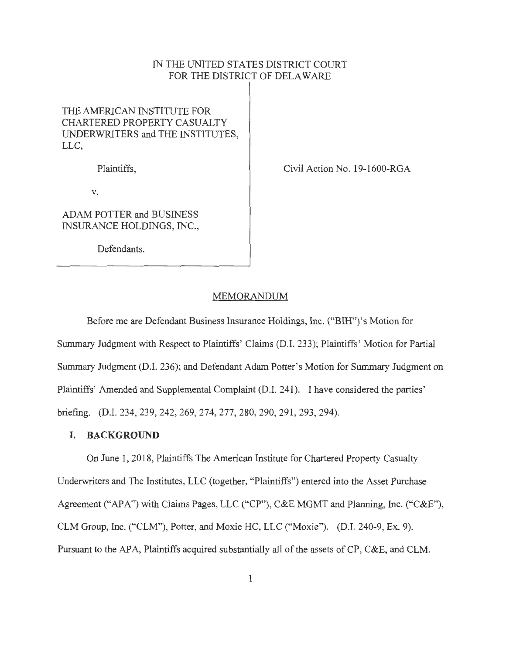## IN THE UNITED STATES DISTRICT COURT FOR THE DISTRICT OF DELAWARE

# THE AMERICAN INSTITUTE FOR CHARTERED PROPERTY CASUALTY UNDERWRITERS and THE INSTITUTES, LLC,

Plaintiffs,

Civil Action No. 19-1600-RGA

V.

ADAM POTTER and BUSINESS INSURANCE HOLDINGS, INC.,

Defendants.

#### MEMORANDUM

Before me are Defendant Business Insurance Holdings, Inc. ("BIH")'s Motion for Summary Judgment with Respect to Plaintiffs' Claims (D.I. 233); Plaintiffs' Motion for Partial Summary Judgment (D.I. 236); and Defendant Adam Potter's Motion for Summary Judgment on Plaintiffs' Amended and Supplemental Complaint (D.I. 241). I have considered the parties' briefing. (D.I. 234, 239, 242, 269, 274, 277, 280, 290, 291 , 293, 294).

## **I. BACKGROUND**

On June 1, 2018, Plaintiffs The American Institute for Chartered Property Casualty Underwriters and The Institutes, LLC (together, "Plaintiffs") entered into the Asset Purchase Agreement ("APA") with Claims Pages, LLC ("CP"), C&E MGMT and Planning, Inc. ("C&E"), CLM Group, Inc. ("CLM"), Potter, and Moxie HC, LLC ("Moxie"). (D.I. 240-9, Ex. 9). Pursuant to the APA, Plaintiffs acquired substantially all of the assets of CP, C&E, and CLM.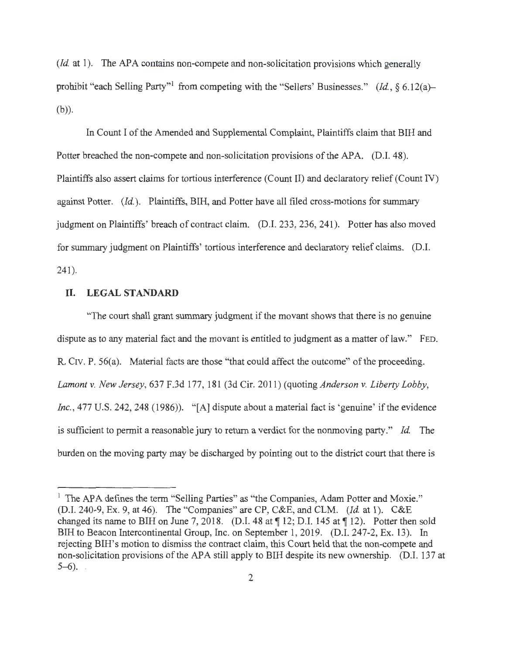*(Id. at 1).* The APA contains non-compete and non-solicitation provisions which generally prohibit "each Selling Party"<sup>1</sup> from competing with the "Sellers' Businesses." *(Id.*, § 6.12(a)-(b)).

In Count I of the Amended and Supplemental Complaint, Plaintiffs claim that BIH and Potter breached the non-compete and non-solicitation provisions of the APA. (D.I. 48). Plaintiffs also assert claims for tortious interference (Count II) and declaratory relief (Count IV) against Potter. *(Id ).* Plaintiffs, BIH, and Potter have all filed cross-motions for summary judgment on Plaintiffs' breach of contract claim. (D.I. 233, 236, 241 ). Potter has also moved for summary judgment on Plaintiffs' tortious interference and declaratory relief claims. (D.I.  $241$ .

## **ll. LEGALSTANDARD**

"The court shall grant summary judgment if the movant shows that there is no genuine dispute as to any material fact and the movant is entitled to judgment as a matter of law." FED. R. CIV. P. 56(a). Material facts are those "that could affect the outcome" of the proceeding. *Lamont* v. *New Jersey,* 637 F.3d 177, 181 (3d Cir. 2011 ) (quoting *Anderson* v. *Liberty Lobby, Inc.*, 477 U.S. 242, 248 (1986)). "[A] dispute about a material fact is 'genuine' if the evidence is sufficient to permit a reasonable jury to return a verdict for the nonmoving party." *Id.* The burden on the moving party may be discharged by pointing out to the district court that there is

 $<sup>1</sup>$  The APA defines the term "Selling Parties" as "the Companies, Adam Potter and Moxie."</sup> (D.I. 240-9, Ex. 9, at 46). The "Companies" are CP, C&E, and CLM. *(Id.* at 1). C&E changed its name to BIH on June 7, 2018. (D.I. 48 at  $\P$  12; D.I. 145 at  $\P$  12). Potter then sold BIH to Beacon Intercontinental Group, Inc. on September 1, 2019. (D.I. 247-2, Ex. 13). In rejecting BIH's motion to dismiss the contract claim, this Court held that the non-compete and non-solicitation provisions of the APA still apply to BIH despite its new ownership. (D.I. 137 at  $5-6$ ).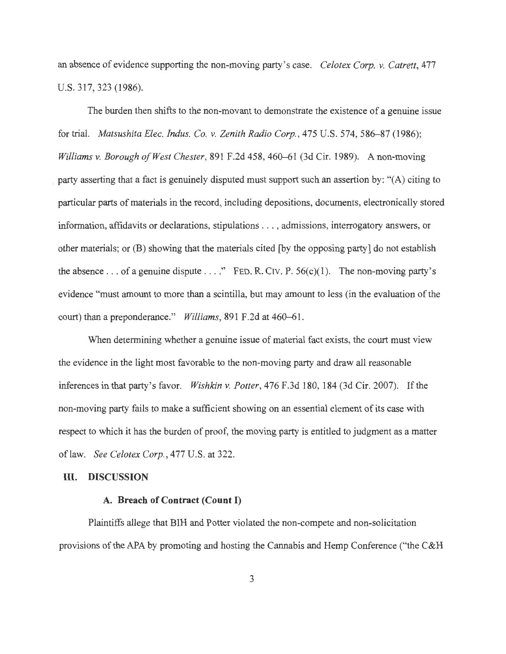an absence of evidence supporting the non-moving party's case. *Celotex Corp. v. Catrett,* 477 U.S. 317,323 (1986).

The burden then shifts to the non-movant to demonstrate the existence of a genuine issue for trial. *Matsushita Elec. Indus. Co. v. Zenith Radio Corp.,* 475 U.S. 574, 586-87 (1986); *Williams v. Borough of West Chester,* 891 F.2d 458, 460-61 (3d Cir. 1989). A non-moving . party asserting that a fact is genuinely disputed must support such an assertion by: "(A) citing to particular parts of materials in the record, including depositions, documents, electronically stored information, affidavits or declarations, stipulations . .. , admissions, interrogatory answers, or other materials; or (B) showing that the materials cited [by the opposing party] do not establish the absence ... of a genuine dispute ... ." FED. R. CIV. P.  $56(c)(1)$ . The non-moving party's evidence "must amount to more than a scintilla, but may amount to less (in the evaluation of the court) than a preponderance." *Williams,* 891 F.2d at 460-61.

When determining whether a genuine issue of material fact exists, the court must view the evidence in the light most favorable to the non-moving party and draw all reasonable inferences in that party's favor. *Wishkin v. Potter,* 476 F.3d 180, 184 (3d Cir. 2007). If the non-moving party fails to make a sufficient showing on an essential element of its case with respect to which it has the burden of proof, the moving party is entitled to judgment as a matter oflaw. *See Celotex Corp.,* 477 U.S. at 322.

#### **III. DISCUSSION**

#### **A. Breach of Contract (Count I)**

Plaintiffs allege that BIH and Potter violated the non-compete and non-solicitation provisions of the APA by promoting and hosting the Cannabis and Hemp Conference ("the C&H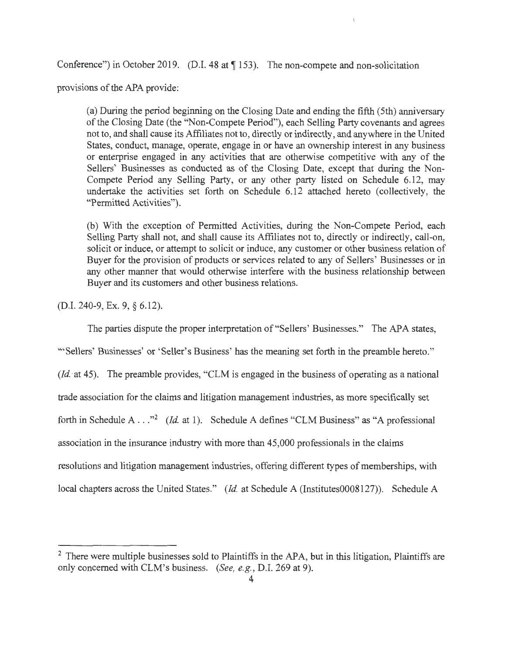Conference") in October 2019. (D.I. 48 at  $\P$  153). The non-compete and non-solicitation

provisions of the APA provide:

(a) During the period beginning on the Closing Date and ending the fifth (5th) anniversary of the Closing Date (the "Non-Compete Period"), each Selling Party covenants and agrees not to, and shall cause its Affiliates not to, directly or indirectly, and anywhere in the United States, conduct, manage, operate, engage in or have an ownership interest in any business or enterprise engaged in any activities that are otherwise competitive with any of the Sellers' Businesses as conducted as of the Closing Date, except that during the Non-Compete Period any Selling Party, or any other party listed on Schedule 6.12, may undertake the activities set forth on Schedule 6.12 attached hereto (collectively, the "Permitted Activities").

(b) With the exception of Permitted Activities, during the Non-Compete Period, each Selling Party shall not, and shall cause its Affiliates not to, directly or indirectly, call-on, solicit or induce, or attempt to solicit or induce, any customer or other business relation of Buyer for the provision of products or services related to any of Sellers' Businesses or in any other manner that would otherwise interfere with the business relationship between Buyer and its customers and other business relations.

(D.I. 240-9, Ex. 9, § 6.12).

The parties dispute the proper interpretation of "Sellers' Businesses." The APA states,

'" Sellers' Businesses' or 'Seller's Business' has the meaning set forth in the preamble hereto."

*(Id.* at 45). The preamble provides, "CLM is engaged in the business of operating as a national

trade association for the claims and litigation management industries, as more specifically set

forth in Schedule A . . .<sup>32</sup> (*Id.* at 1). Schedule A defines "CLM Business" as "A professional

association in the insurance industry with more than 45,000 professionals in the claims

resolutions and litigation management industries, offering different types of memberships, with

local chapters across the United States." *(Id.* at Schedule A (Institutes0008127)). Schedule A

 $2$  There were multiple businesses sold to Plaintiffs in the APA, but in this litigation, Plaintiffs are only concerned with CLM's business. *(See, e.g. ,* D.I. 269 at 9).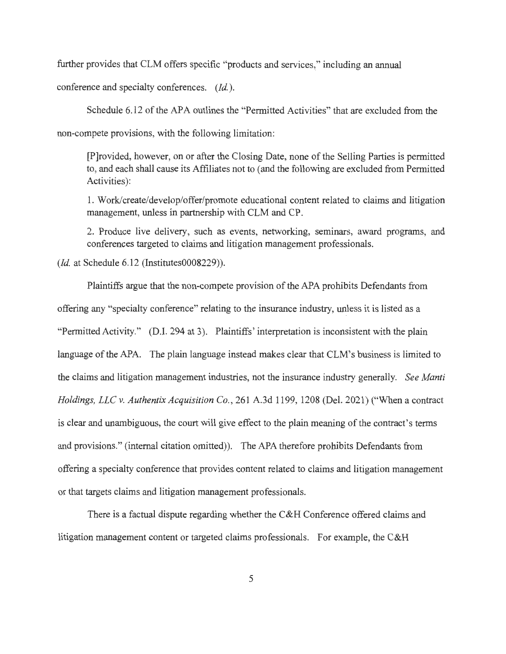further provides that CLM offers specific "products and services," including an annual

conference and specialty conferences. *(Id.).* 

Schedule 6.12 of the APA outlines the "Permitted Activities" that are excluded from the

non-compete provisions, with the following limitation:

[P]rovided, however, on or after the Closing Date, none of the Selling Parties is permitted to, and each shall cause its Affiliates not to ( and the following are excluded from Permitted Activities):

1. Work/create/develop/offer/promote educational content related to claims and litigation management, unless in partnership with CLM and CP.

2. Produce live delivery, such as events, networking, seminars, award programs, and conferences targeted to claims and litigation management professionals.

*(Id.* at Schedule 6.12 (Institutes0008229)).

Plaintiffs argue that the non-compete provision of the APA prohibits Defendants from offering any "specialty conference" relating to the insurance industry, unless it is listed as a "Permitted Activity." (D.I. 294 at 3). Plaintiffs' interpretation is inconsistent with the plain language of the APA. The plain language instead makes clear that CLM's business is limited to the claims and litigation management industries, not the insurance industry generally. *See Manti Holdings, LLC v. Authentix Acquisition Co.,* 261 A.3d 1199, 1208 (Del. 2021) ("When a contract is clear and unambiguous, the court will give effect to the plain meaning of the contract's terms and provisions." (internal citation omitted)). The APA therefore prohibits Defendants from offering a specialty conference that provides content related to claims and litigation management or that targets claims and litigation management professionals.

There is a factual dispute regarding whether the C&H Conference offered claims and litigation management content or targeted claims professionals. For example, the C&H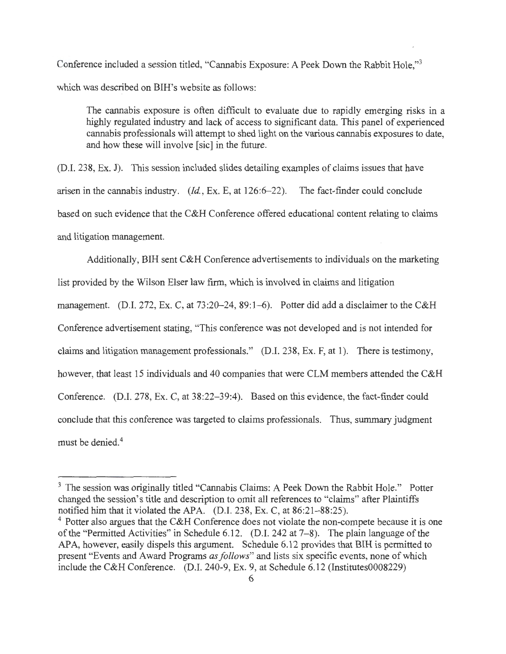Conference included a session titled, "Cannabis Exposure: A Peek Down the Rabbit Hole,"3 which was described on BIH's website as follows:

The cannabis exposure is often difficult to evaluate due to rapidly emerging risks in a highly regulated industry and lack of access to significant data. This panel of experienced cannabis professionals will attempt to shed light on the various cannabis exposures to date, and how these will involve [sic] in the future.

(D.I. 238, Ex. J). This session included slides detailing examples of claims issues that have arisen in the cannabis industry. (Id., Ex. E, at 126:6-22). The fact-finder could conclude based on such evidence that the C&H Conference offered educational content relating to claims and litigation management.

Additionally, BIH sent C&H Conference advertisements to individuals on the marketing list provided by the Wilson Elser law firm, which is involved in claims and litigation management. (D.I. 272, Ex. C, at 73:20–24, 89:1–6). Potter did add a disclaimer to the C&H Conference advertisement stating, "This conference was not developed and is not intended for claims and litigation management professionals." (D.I. 238, Ex. F, at 1). There is testimony, however, that least 15 individuals and 40 companies that were CLM members attended the C&H Conference. (D.I. 278, Ex. C, at 38:22-39:4). Based on this evidence, the fact-finder could conclude that this conference was targeted to claims professionals. Thus, summary judgment must be denied. 4

<sup>&</sup>lt;sup>3</sup> The session was originally titled "Cannabis Claims: A Peek Down the Rabbit Hole." Potter changed the session's title and description to omit all references to "claims" after Plaintiffs notified him that it violated the APA. (D.I. 238, Ex. C, at 86:21-88:25).

 $4$  Potter also argues that the C&H Conference does not violate the non-compete because it is one of the "Permitted Activities" in Schedule 6.12. (D.I. 242 at  $7-8$ ). The plain language of the APA, however, easily dispels this argument. Schedule 6.12 provides that BIH is permitted to present "Events and Award Programs *as follows"* and lists six specific events, none of which include the C&H Conference. (D.I. 240-9, Ex. 9, at Schedule 6.12 (Institutes0008229)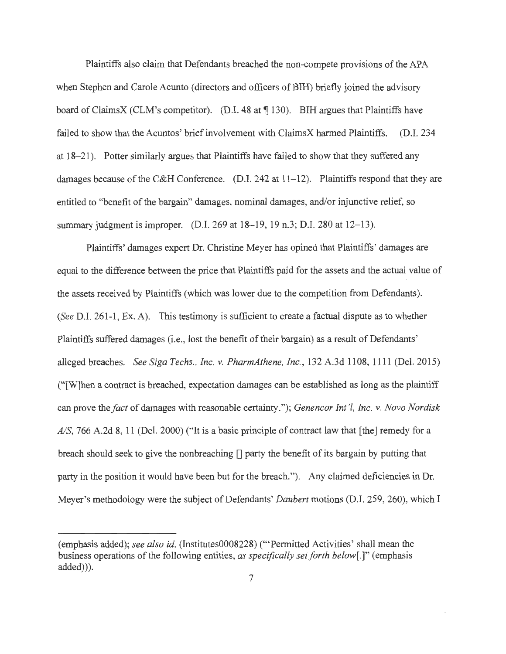Plaintiffs also claim that Defendants breached the non-compete provisions of the APA when Stephen and Carole Acunto (directors and officers of BIH) briefly joined the advisory board of ClaimsX (CLM's competitor). (D.I. 48 at  $\P$  130). BIH argues that Plaintiffs have failed to show that the Acuntos' brief involvement with ClaimsX harmed Plaintiffs. (D.I. 234 at 18-21 ). Potter similarly argues that Plaintiffs have failed to show that they suffered any damages because of the C&H Conference. (D.I. 242 at 11–12). Plaintiffs respond that they are entitled to "benefit of the bargain" damages, nominal damages, and/or injunctive relief, so summary judgment is improper. (D.I. 269 at 18-19, 19 n.3; D.I. 280 at 12-13).

Plaintiffs' damages expert Dr. Christine Meyer has opined that Plaintiffs' damages are equal to the difference between the price that Plaintiffs paid for the assets and the actual value of the assets received by Plaintiffs (which was lower due to the competition from Defendants). *(See* D.I. 261-1 , Ex. A). This testimony is sufficient to create a factual dispute as to whether Plaintiffs suffered damages (i.e., lost the benefit of their bargain) as a result of Defendants' alleged breaches. *See Siga Techs., Inc. v. PharmAthene, Inc.,* 132 A.3d 1108, 1111 (Del. 2015) ("[W]hen a contract is breached, expectation damages can be established as long as the plaintiff can prove the *fact* of damages with reasonable certainty."); *Genencor Int'l, Inc. v. Novo Nordisk AIS,* 766 A.2d 8, 11 (Del. 2000) ("It is a basic principle of contract law that [the] remedy for a breach should seek to give the nonbreaching  $\Box$  party the benefit of its bargain by putting that party in the position it would have been but for the breach."). Any claimed deficiencies in Dr. Meyer's methodology were the subject of Defendants' *Daubert* motions (D.I. 259, 260), which I

<sup>(</sup>emphasis added); *see also id.* (Institutes0008228) ("'Permitted Activities' shall mean the business operations of the following entities, *as specifically set forth below[.]"* (emphasis added))).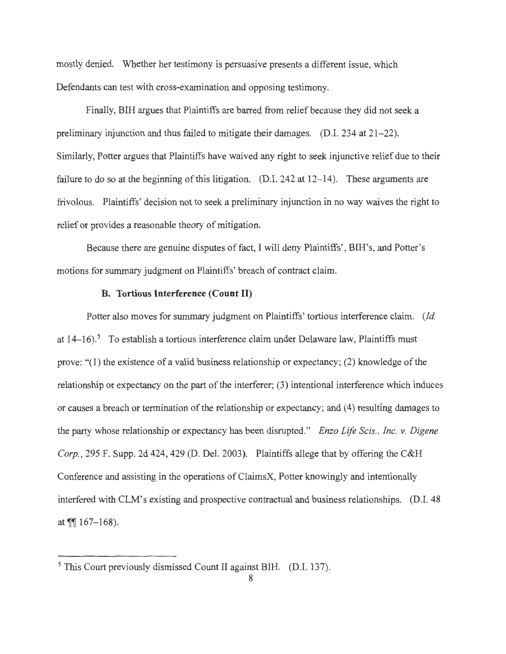mostly denied. Whether her testimony is persuasive presents a different issue, which Defendants can test with cross-examination and opposing testimony.

Finally, BIH argues that Plaintiffs are barred from relief because they did not seek a preliminary injunction and thus failed to mitigate their damages. (D.I. 234 at 21-22). Similarly, Potter argues that Plaintiffs have waived any right to seek injunctive relief due to their failure to do so at the beginning of this litigation. (D.I. 242 at  $12-14$ ). These arguments are frivolous. Plaintiffs' decision not to seek a preliminary injunction in no way waives the right to relief or provides a reasonable theory of mitigation.

Because there are genuine disputes of fact, I will deny Plaintiffs', BIH's, and Potter's motions for summary judgment on Plaintiffs' breach of contract claim.

#### **B. Tortious Interference (Count II)**

Potter also moves for summary judgment on Plaintiffs' tortious interference claim. *(Id*  at  $14-16$ .<sup>5</sup> To establish a tortious interference claim under Delaware law, Plaintiffs must prove: "(1) the existence of a valid business relationship or expectancy; (2) knowledge of the relationship or expectancy on the part of the interferer; (3) intentional interference which induces or causes a breach or termination of the relationship or expectancy; and (4) resulting damages to the party whose relationship or expectancy has been disrupted." *Enzo Life Scis. , Inc. v. Digene Corp.,* 295 F. Supp. 2d 424, 429 (D. Del. 2003). Plaintiffs allege that by offering the C&H Conference and assisting in the operations of ClaimsX, Potter knowingly and intentionally interfered with CLM's existing and prospective contractual and business relationships. (D.I. 48 at  $\P$ [167-168).

<sup>5</sup> This Court previously dismissed Count II against BIH. (D.I. 137).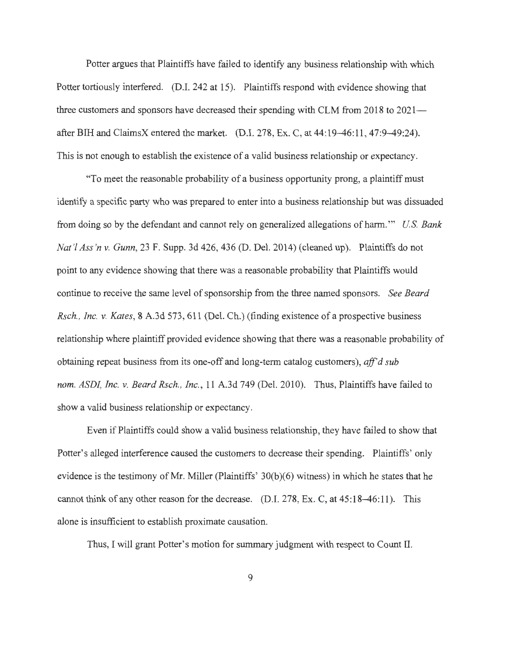Potter argues that Plaintiffs have failed to identify any business relationship with which Potter tortiously interfered. (D.I. 242 at 15). Plaintiffs respond with evidence showing that three customers and sponsors have decreased their spending with CLM from 2018 to 2021 after BIH and ClaimsX entered the market. (D.I. 278, Ex. C, at 44:19-46:11 , 47:9-49:24). This is not enough to establish the existence of a valid business relationship or expectancy.

"To meet the reasonable probability of a business opportunity prong, a plaintiff must identify a specific party who was prepared to enter into a business relationship but was dissuaded from doing so by the defendant and cannot rely on generalized allegations of harm."' *U S. Bank Nat '! Ass 'n v. Gunn,* 23 F. Supp. 3d 426, 436 (D. Del. 2014) (cleaned up). Plaintiffs do not point to any evidence showing that there was a reasonable probability that Plaintiffs would continue to receive the same level of sponsorship from the three named sponsors. *See Beard Rsch., Inc. v. Kates,* 8 A.3d 573, 611 (Del. Ch.) (finding existence of a prospective business relationship where plaintiff provided evidence showing that there was a reasonable probability of obtaining repeat business from its one-off and long-term catalog customers), *aff'd sub nom. ASDL Inc. v. Beard Rsch., Inc. ,* 11 A.3d 749 (Del. 2010). Thus, Plaintiffs have failed to show a valid business relationship or expectancy.

Even if Plaintiffs could show a valid business relationship, they have failed to show that Potter's alleged interference caused the customers to decrease their spending. Plaintiffs' only evidence is the testimony of Mr. Miller (Plaintiffs' 30(b)(6) witness) in which he states that he cannot think of any other reason for the decrease.  $(D.I. 278, Ex. C, at 45:18-46:11)$ . This alone is insufficient to establish proximate causation.

Thus, I will grant Potter's motion for summary judgment with respect to Count II.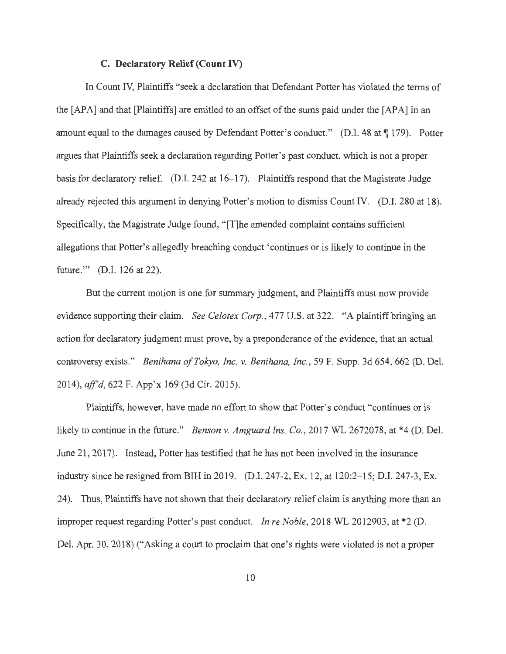#### **C. Declaratory Relief (Count IV)**

In Count IV, Plaintiffs "seek a declaration that Defendant Potter has violated the terms of the [APA] and that [Plaintiffs] are entitled to an offset of the sums paid under the [APA] in an amount equal to the damages caused by Defendant Potter's conduct." (D.I. 48 at  $\P$  179). Potter argues that Plaintiffs seek a declaration regarding Potter's past conduct, which is not a proper basis for declaratory relief. (D.I. 242 at 16–17). Plaintiffs respond that the Magistrate Judge already rejected this argument in denying Potter's motion to dismiss Count IV. (D.I. 280 at 18). Specifically, the Magistrate Judge found, "[T]he amended complaint contains sufficient allegations that Potter's allegedly breaching conduct 'continues or is likely to continue in the future."" (D.I. 126 at 22).

But the current motion is one for summary judgment, and Plaintiffs must now provide evidence supporting their claim. *See Celotex Corp.*, 477 U.S. at 322. "A plaintiff bringing an action for declaratory judgment must prove, by a preponderance of the evidence, that an actual controversy exists." *Benihana ofTokyo, Inc.* v. *Benihana, Inc.,* 59 F. Supp. 3d 654, 662 (D. Del. 2014), *ajf'd,* 622 F. App'x 169 (3d Cir. 2015).

Plaintiffs, however, have made no effort to show that Potter's conduct "continues or is likely to continue in the future." *Benson v. Amguard Ins. Co.*, 2017 WL 2672078, at \*4 (D. Del.) June 21, 2017). Instead, Potter has testified that he has not been involved in the insurance industry since he resigned from BIH in 2019. (D.I. 247-2, Ex. 12, at 120:2-15; D.I. 247-3, Ex. 24). Thus, Plaintiffs have not shown that their declaratory relief claim is anything more than an improper request regarding Potter's past conduct. *In re Noble,* 2018 WL 2012903, at \*2 (D. Del. Apr. 30, 2018) ("Asking a court to proclaim that one's rights were violated is not a proper